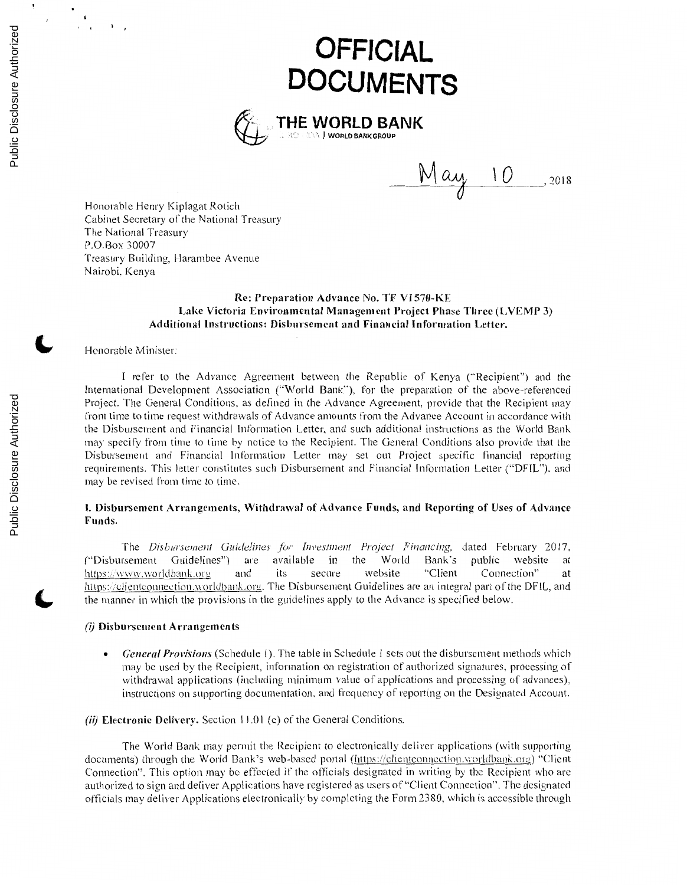# **OFFICIAL DOCUMENTS**



**\_M\_~,f------~\ O\_,** <sup>2018</sup>

Honorable Henry Kiplagat Rotich Cabinet Secretary of the National Treasury The National Treasury P.O.Box 30007 Treasury Building, Harambee Avenue Nairobi. Kenya

#### **Re: Preparation Advance No. TF VI 570-KE Lake Victoria Environmental Management Project Phase Three (LVEMP 3) Additional Instructions: Disbursement and Financial Information Letter.**

### Honorable Minister:

I refer to the Advance Agreement between the Republic of Kenya ("Recipient") and the International Development Association ('"World Bank"). for the preparation of the above-referenced Project. The General Conditions, as defined in the Advance Agreement, provide that the Recipient may from time to time request withdrawals of Advance amounts from the Advance Account in accordance with the Disbursement and Financial Information Letter. and such additional instructions as the World Bank may specify from time to time by notice to the Recipient. The General Conditions also provide that the Disbursement and Financial Information Letter may set out Project specific financial reporting requirements. This letter constitutes such Disbursement and Financial Information Letter ("DFIL"). and may be revised from time to time.

### I. **Disbursement Arrangements, Withdrawal of Advance Funds, and Reporting of Uses of Advance Funds.**

The *Disbursement Guidelines for Investment Project Financing*, dated February 2017, rsement Guidelines") are available in the World Bank's public website at (''Disbursement Guidelines") are available **in** the World Bank's public website at https://www.worldbank.org and its secure website "Client Connection" at https://clientconnection.worldbank.org. The Disbursement Guidelines are an integral part of the DFIL, and the manner in which the provisions in the guidelines apply to the Advance is specified below.

#### (i) **Disbursement Arrangements**

- *General Provisions* (Schedule I). The table in Schedule I sets out the disbursement methods which may be used by the Recipient, information on registration of authorized signatures, processing of withdrawal applications (including minimum value of applications and processing of advances). instructions on supporting documentation. and frequency of reporting on the Designated Account.
- (ii) **Electronic Delivery.** Section 11.01 (c) of the General Conditions.

The World Bank may permit the Recipient to electronically deliver applications (with supporting documents) through the World Bank's web-based portal (https://clientconnection.worldbank.org) "Client" Connection". This option may be effected if the officials designated in writing by the Recipient who are authorized to sign and deliver Applications have registered as users of "Client Connection". The designated officials may deliver Applications electronically by completing the Form 2380. which is accessible through

 $\cdot$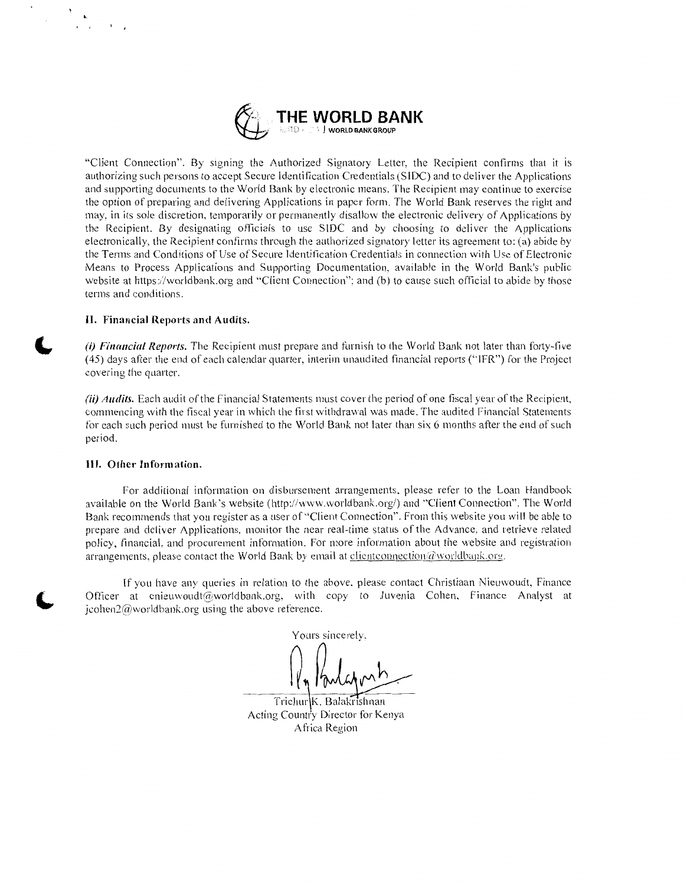

"Client Connection". By signing the Authorized Signatory Letter, the Recipient confirms that it is authorizing such persons to accept Secure Identification Credentials (SIDC) and to deliver the Applications and supporting documents to the World Bank by electronic means. The Recipient may continue to exercise the option of preparing and delivering Applications in paper form. The World Bank reserves the right and may, in its sole discretion, temporarily or permanently disallow the electronic delivery of Applications by the Recipient. By designating officials to use S!DC and by choosing to deliver the Applications electronically. the Recipient confirms through the authorized signatory letter its agreement to: (a) abide by the Terms and Conditions of Use of Secure Identification Credentials in connection with Use of Electronic Means to Process Applications and Supporting Documentation, available in the World Bank's public website at https://worldbank.org and "Client Connection''; and (b) to cause such official to abide by those terms and conditions.

#### II. **Financial Reports and Audits.**

**L** 

(i) *Fina11cial Reports.* The Recipient must prepare and furnish to the World Bank not later than forty-five ( 45) days after the end of each calendar quarter, interim unaudited financial reports ("!FR") for the Project covering the quarter.

(ii) *Audits.* Each audit of the Financial Statements must cover the period of one fiscal year of the Recipient, commencing with the fiscal year in which the first withdrawal was made. The audited Financial Statements for each such period must be furnished to the World Bank not later than six 6 months after the end of such period.

#### **Ill. Other Information.**

For additional information on disbursement arrangements, please refer to the Loan Handbook available on the World Bank's website (http://www.worldbank.org/) and "'Client Connection". The World Bank recommends that you register as a user of "Client Connection". From this website you will be able to prepare and deliver Applications, monitor the near real-time status of the Advance, and retrieve related policy, financial, and procurement information. For more information about the website and registration arrangements, please contact the World Bank by email at clientconnection $\omega$  worldbank.org.

If you have any queries in relation to the above. please contact Christiaan Nieuwoudt. Finance Officer at cnieuwoudt@worldbank.org, with copy to Juvenia Cohen, Finance Analyst at jcohen $2@$  worldbank.org using the above reference.

Yours sincerely.

Trichur K. Balakrishnan Acting Country Director for Kenya Africa Region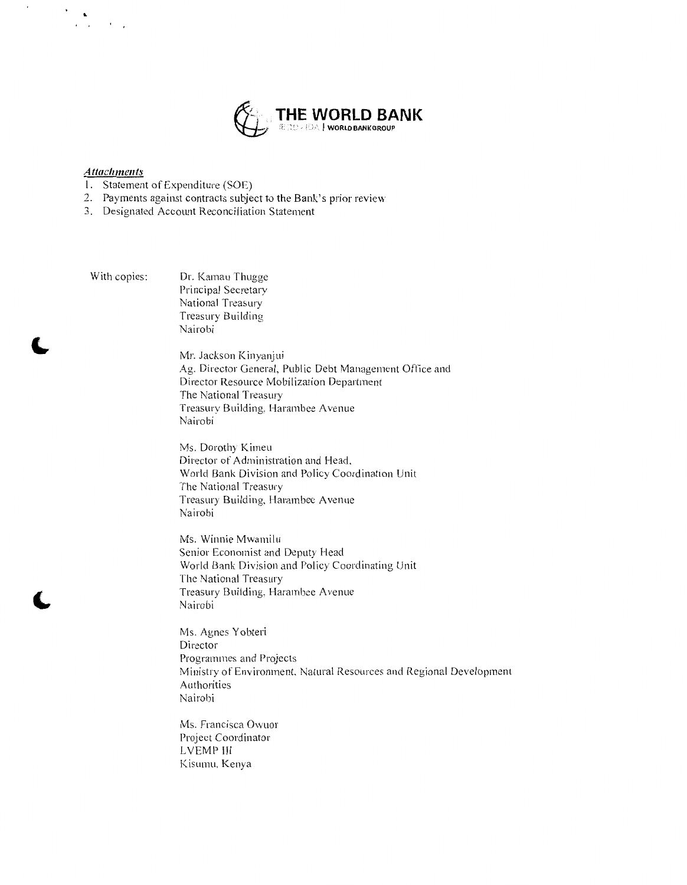

## *Attachments*

 $\sum_{i=1}^K \alpha_i$ 

 $\overline{\phantom{a}}$ 

- 1. Statement of Expenditure (SOE)
- 2. Payments against contracts subject to the Bank's prior review
- 3. Designated Account Reconciliation Statement

Nairobi

With copies: Dr. Kamau Thugge Principal Secretary National Treasury Treasury Building

> Mr. Jackson Kinyanjui Ag. Director General, Public Debt Management Office and Director Resource Mobilization Department The National Treasury Treasury Building, Harambee Avenue Nairobi

Ms. Dorothy Kimeu Director of Administration and Head, World Bank Division and Policy Coordination Unit The National Treasury Treasury Building, Harambee Avenue Nairobi

Ms. Winnie Mwamilu Senior Economist and Deputy Head World Bank Division and Policy Coordinating Unit The National Treasury Treasury Building, Harambee Avenue Nairobi

Ms. Agnes Yobteri Director Programmes and Projects Ministry of Environment. Natural Resources and Regional Development Authorities Nairobi

Ms. Francisca Owuor Project Coordinator LVEMP Ill Kisurnu. Kenya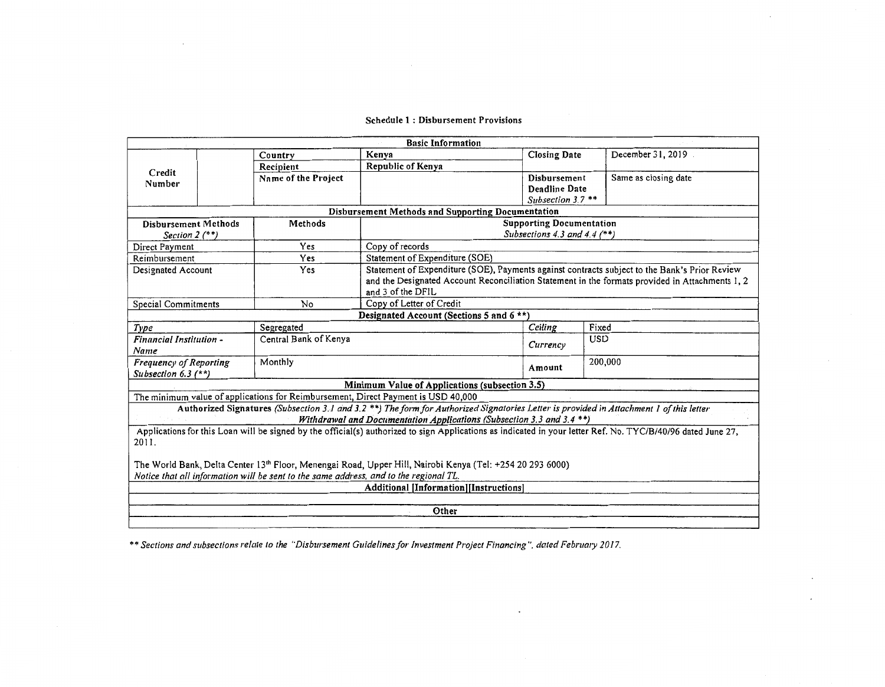#### Schedule 1 : Disbursement Provisions

 $\mathcal{L}$ 

|                                                                                                                                                              |  |                                                                                       | <b>Basic Information</b>                                                                                                                |                     |            |                      |  |  |  |  |
|--------------------------------------------------------------------------------------------------------------------------------------------------------------|--|---------------------------------------------------------------------------------------|-----------------------------------------------------------------------------------------------------------------------------------------|---------------------|------------|----------------------|--|--|--|--|
|                                                                                                                                                              |  | Country                                                                               | Kenya                                                                                                                                   | <b>Closing Date</b> |            | December 31, 2019    |  |  |  |  |
|                                                                                                                                                              |  | Recipient                                                                             | Republic of Kenya                                                                                                                       |                     |            |                      |  |  |  |  |
| Credit<br>Number                                                                                                                                             |  | Name of the Project                                                                   |                                                                                                                                         | Disbursement        |            | Same as closing date |  |  |  |  |
|                                                                                                                                                              |  |                                                                                       |                                                                                                                                         | Deadline Date       |            |                      |  |  |  |  |
|                                                                                                                                                              |  |                                                                                       |                                                                                                                                         | Subsection $3.7$ ** |            |                      |  |  |  |  |
| Disbursement Methods and Supporting Documentation                                                                                                            |  |                                                                                       |                                                                                                                                         |                     |            |                      |  |  |  |  |
| <b>Disbursement Methods</b>                                                                                                                                  |  | Methods                                                                               | <b>Supporting Documentation</b>                                                                                                         |                     |            |                      |  |  |  |  |
| Section $2$ $($ **)                                                                                                                                          |  |                                                                                       | Subsections 4.3 and 4.4 $(**)$                                                                                                          |                     |            |                      |  |  |  |  |
| Direct Payment                                                                                                                                               |  | Yes                                                                                   | Copy of records                                                                                                                         |                     |            |                      |  |  |  |  |
| Reimbursement                                                                                                                                                |  | Yes                                                                                   | Statement of Expenditure (SOE)                                                                                                          |                     |            |                      |  |  |  |  |
| Designated Account                                                                                                                                           |  | Yes                                                                                   | Statement of Expenditure (SOE), Payments against contracts subject to the Bank's Prior Review                                           |                     |            |                      |  |  |  |  |
|                                                                                                                                                              |  |                                                                                       | and the Designated Account Reconciliation Statement in the formats provided in Attachments 1, 2                                         |                     |            |                      |  |  |  |  |
|                                                                                                                                                              |  |                                                                                       | and 3 of the DFIL                                                                                                                       |                     |            |                      |  |  |  |  |
| Copy of Letter of Credit<br>No<br><b>Special Commitments</b>                                                                                                 |  |                                                                                       |                                                                                                                                         |                     |            |                      |  |  |  |  |
|                                                                                                                                                              |  |                                                                                       | Designated Account (Sections 5 and $6**$ )                                                                                              |                     |            |                      |  |  |  |  |
| Type                                                                                                                                                         |  | Segregated                                                                            |                                                                                                                                         | Ceiling             | Fixed      |                      |  |  |  |  |
| <b>Financial Institution -</b>                                                                                                                               |  | Central Bank of Kenya                                                                 |                                                                                                                                         | Currency            | <b>USD</b> |                      |  |  |  |  |
| Name                                                                                                                                                         |  |                                                                                       |                                                                                                                                         |                     |            |                      |  |  |  |  |
| Frequency of Reporting                                                                                                                                       |  | Monthly                                                                               |                                                                                                                                         | Amount              | 200,000    |                      |  |  |  |  |
| Subsection 6.3 $(**)$                                                                                                                                        |  |                                                                                       |                                                                                                                                         |                     |            |                      |  |  |  |  |
|                                                                                                                                                              |  |                                                                                       | Minimum Value of Applications (subsection 3.5)                                                                                          |                     |            |                      |  |  |  |  |
|                                                                                                                                                              |  |                                                                                       | The minimum value of applications for Reimbursement, Direct Payment is USD 40,000                                                       |                     |            |                      |  |  |  |  |
|                                                                                                                                                              |  |                                                                                       | Authorized Signatures (Subsection 3.1 and 3.2 **) The form for Authorized Signatories Letter is provided in Attachment 1 of this letter |                     |            |                      |  |  |  |  |
| Withdrawal and Documentation Applications (Subsection 3.3 and 3.4 **)                                                                                        |  |                                                                                       |                                                                                                                                         |                     |            |                      |  |  |  |  |
| Applications for this Loan will be signed by the official(s) authorized to sign Applications as indicated in your letter Ref. No. TYC/B/40/96 dated June 27, |  |                                                                                       |                                                                                                                                         |                     |            |                      |  |  |  |  |
| 2011.                                                                                                                                                        |  |                                                                                       |                                                                                                                                         |                     |            |                      |  |  |  |  |
|                                                                                                                                                              |  |                                                                                       |                                                                                                                                         |                     |            |                      |  |  |  |  |
|                                                                                                                                                              |  |                                                                                       | The World Bank, Delta Center 13th Floor, Menengai Road, Upper Hill, Nairobi Kenya (Tel: +254 20 293 6000)                               |                     |            |                      |  |  |  |  |
|                                                                                                                                                              |  | Notice that all information will be sent to the same address, and to the regional TL. |                                                                                                                                         |                     |            |                      |  |  |  |  |
| Additional [Information][Instructions]                                                                                                                       |  |                                                                                       |                                                                                                                                         |                     |            |                      |  |  |  |  |
|                                                                                                                                                              |  |                                                                                       | Other                                                                                                                                   |                     |            |                      |  |  |  |  |
|                                                                                                                                                              |  |                                                                                       |                                                                                                                                         |                     |            |                      |  |  |  |  |

\*\* Sections and subsections relate to the "Disbursement Guidelines for Investment Project Financing", dated February 2017.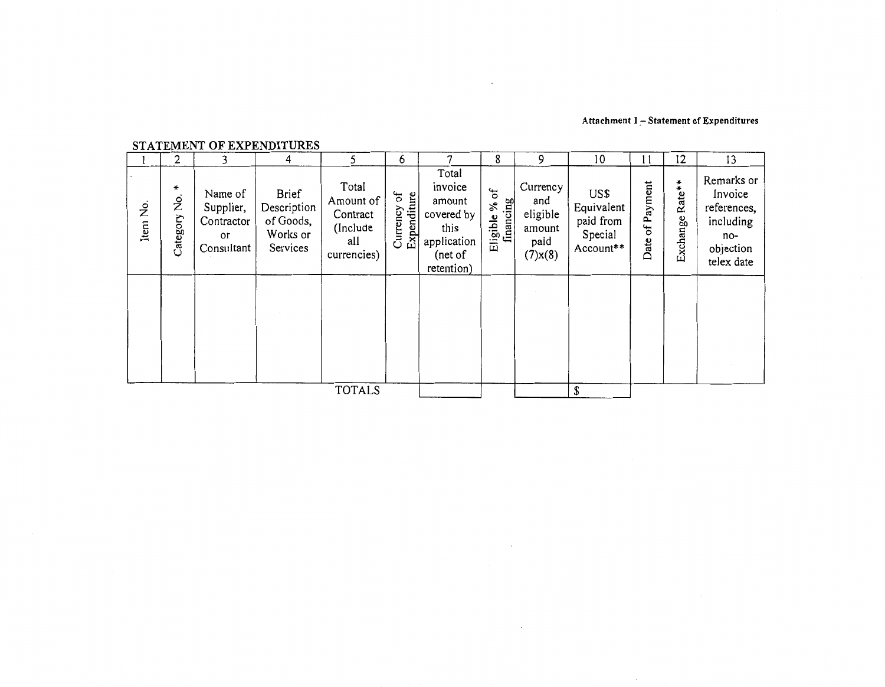## **Attachment 1,- Statement of Expenditures**

|          | 2                 | 3                                                      | DIAIDHENII OI DAIDIWII ORDO<br>4                                 | 5                                                                | 6                             |                                                                                          | 8                              | 9                                                              | 10                                                      | 11                 | 12                 | 13                                                                                  |
|----------|-------------------|--------------------------------------------------------|------------------------------------------------------------------|------------------------------------------------------------------|-------------------------------|------------------------------------------------------------------------------------------|--------------------------------|----------------------------------------------------------------|---------------------------------------------------------|--------------------|--------------------|-------------------------------------------------------------------------------------|
| Item No. | ₩<br>Category No. | Name of<br>Supplier,<br>Contractor<br>ог<br>Consultant | <b>Brief</b><br>Description<br>of Goods,<br>Works or<br>Services | Total<br>Amount of<br>Contract<br>(Include<br>all<br>currencies) | σf<br>Expenditure<br>Currency | Total<br>invoice<br>amount<br>covered by<br>this<br>application<br>(net of<br>retention) | ъ<br>Eligible % c<br>financing | Currency<br>and<br>eligible<br>amount<br>paid<br>$(7)$ x $(8)$ | US\$<br>Equivalent<br>paid from<br>Special<br>Account** | of Payment<br>Date | Rate**<br>Exchange | Remarks or<br>Invoice<br>references,<br>including<br>no-<br>objection<br>telex date |
|          |                   |                                                        |                                                                  |                                                                  |                               |                                                                                          |                                |                                                                |                                                         |                    |                    |                                                                                     |
|          |                   |                                                        |                                                                  | <b>TOTALS</b>                                                    |                               |                                                                                          |                                |                                                                | \$                                                      |                    |                    |                                                                                     |

 $\ddot{\phantom{0}}$ 

 $\bar{z}$ 

## STATEMENT OF EXPENDITURES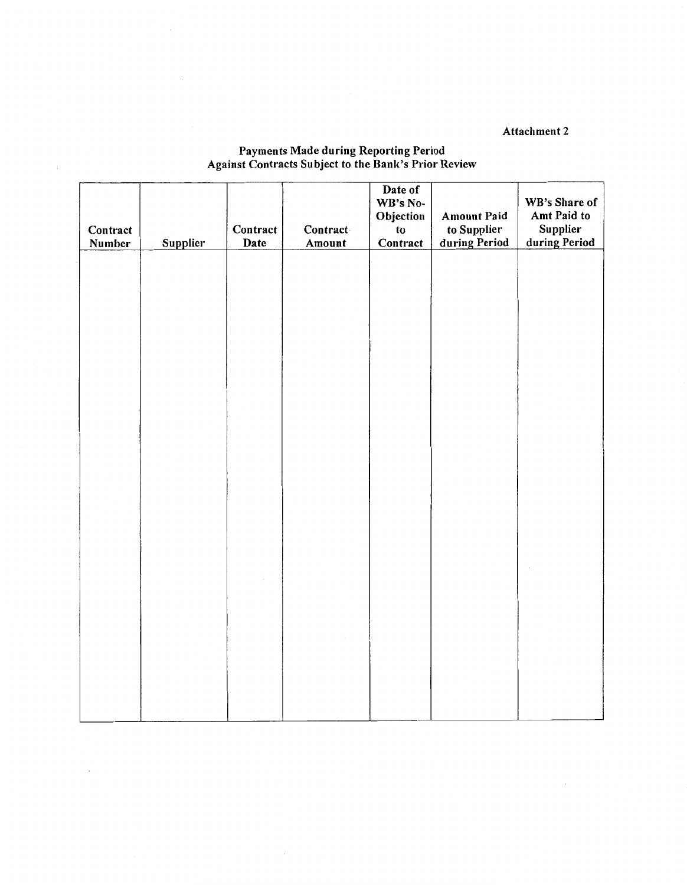Attachment 2

| Contract<br>Number | <b>Supplier</b> | Contract<br>Date | Contract<br>Amount | Date of<br>WB's No-<br>Objection<br>to<br>Contract | <b>Amount Paid</b><br>to Supplier<br>during Period | WB's Share of<br>Amt Paid to<br>Supplier<br>during Period |
|--------------------|-----------------|------------------|--------------------|----------------------------------------------------|----------------------------------------------------|-----------------------------------------------------------|
|                    |                 |                  |                    |                                                    |                                                    |                                                           |
|                    |                 |                  |                    |                                                    |                                                    |                                                           |
|                    |                 |                  |                    |                                                    |                                                    |                                                           |
|                    |                 |                  |                    |                                                    |                                                    |                                                           |
|                    |                 |                  |                    |                                                    |                                                    |                                                           |
|                    |                 |                  |                    |                                                    |                                                    |                                                           |
|                    |                 |                  |                    |                                                    |                                                    |                                                           |

 $\bar{z}$ 

## Payments Made during Reporting Period Against Contracts Subject to the Bank's Prior Review